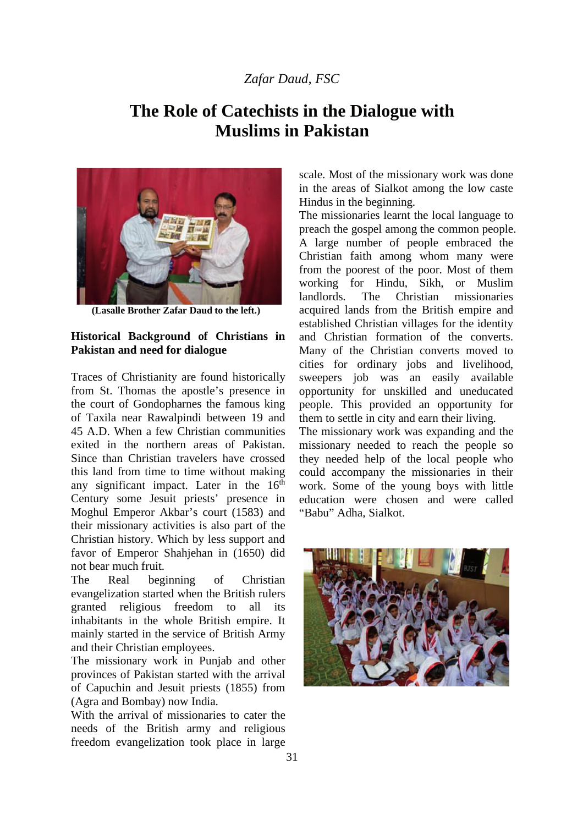## *Zafar Daud, FSC*

## **The Role of Catechists in the Dialogue with Muslims in Pakistan**



 **(Lasalle Brother Zafar Daud to the left.)**

## **Historical Background of Christians in Pakistan and need for dialogue**

Traces of Christianity are found historically from St. Thomas the apostle's presence in the court of Gondopharnes the famous king of Taxila near Rawalpindi between 19 and 45 A.D. When a few Christian communities exited in the northern areas of Pakistan. Since than Christian travelers have crossed this land from time to time without making any significant impact. Later in the  $16<sup>th</sup>$ Century some Jesuit priests' presence in Moghul Emperor Akbar's court (1583) and their missionary activities is also part of the Christian history. Which by less support and favor of Emperor Shahjehan in (1650) did not bear much fruit.

The Real beginning of Christian evangelization started when the British rulers granted religious freedom to all its inhabitants in the whole British empire. It mainly started in the service of British Army and their Christian employees.

The missionary work in Punjab and other provinces of Pakistan started with the arrival of Capuchin and Jesuit priests (1855) from (Agra and Bombay) now India.

With the arrival of missionaries to cater the needs of the British army and religious freedom evangelization took place in large

scale. Most of the missionary work was done in the areas of Sialkot among the low caste Hindus in the beginning.

The missionaries learnt the local language to preach the gospel among the common people. A large number of people embraced the Christian faith among whom many were from the poorest of the poor. Most of them working for Hindu, Sikh, or Muslim landlords. The Christian missionaries acquired lands from the British empire and established Christian villages for the identity and Christian formation of the converts. Many of the Christian converts moved to cities for ordinary jobs and livelihood, sweepers job was an easily available opportunity for unskilled and uneducated people. This provided an opportunity for them to settle in city and earn their living.

The missionary work was expanding and the missionary needed to reach the people so they needed help of the local people who could accompany the missionaries in their work. Some of the young boys with little education were chosen and were called "Babu" Adha, Sialkot.